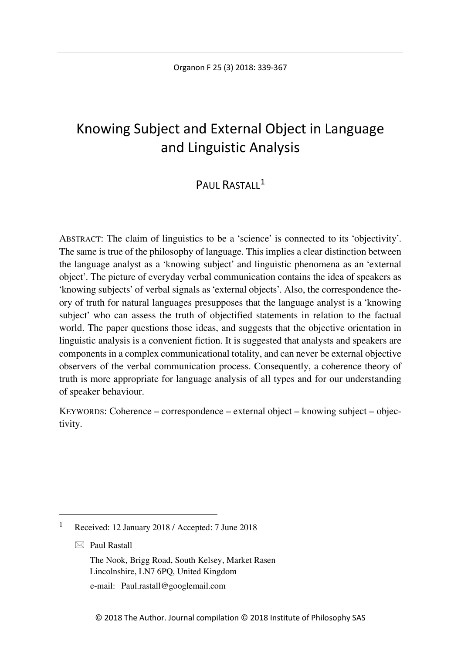# Knowing Subject and External Object in Language and Linguistic Analysis

## PAUL RASTALL<sup>[1](#page-0-0)</sup>

ABSTRACT: The claim of linguistics to be a 'science' is connected to its 'objectivity'. The same is true of the philosophy of language. This implies a clear distinction between the language analyst as a 'knowing subject' and linguistic phenomena as an 'external object'. The picture of everyday verbal communication contains the idea of speakers as 'knowing subjects' of verbal signals as 'external objects'. Also, the correspondence theory of truth for natural languages presupposes that the language analyst is a 'knowing subject' who can assess the truth of objectified statements in relation to the factual world. The paper questions those ideas, and suggests that the objective orientation in linguistic analysis is a convenient fiction. It is suggested that analysts and speakers are components in a complex communicational totality, and can never be external objective observers of the verbal communication process. Consequently, a coherence theory of truth is more appropriate for language analysis of all types and for our understanding of speaker behaviour.

KEYWORDS: Coherence – correspondence – external object – knowing subject – objectivity.

 $\boxtimes$  Paul Rastall

The Nook, Brigg Road, South Kelsey, Market Rasen Lincolnshire, LN7 6PQ, United Kingdom

e-mail: Paul.rastall@googlemail.com

<span id="page-0-0"></span> <sup>1</sup> Received: 12 January 2018 / Accepted: 7 June 2018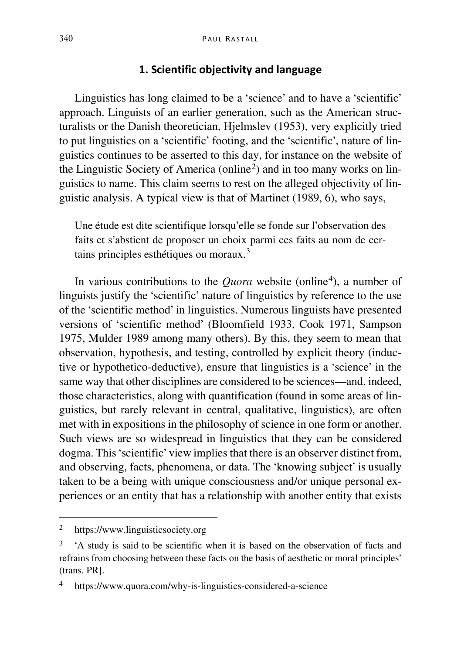#### **1. Scientific objectivity and language**

Linguistics has long claimed to be a 'science' and to have a 'scientific' approach. Linguists of an earlier generation, such as the American structuralists or the Danish theoretician, Hjelmslev (1953), very explicitly tried to put linguistics on a 'scientific' footing, and the 'scientific', nature of linguistics continues to be asserted to this day, for instance on the website of the Linguistic Society of America (online[2](#page-1-0)) and in too many works on linguistics to name. This claim seems to rest on the alleged objectivity of linguistic analysis. A typical view is that of Martinet (1989, 6), who says,

Une étude est dite scientifique lorsqu'elle se fonde sur l'observation des faits et s'abstient de proposer un choix parmi ces faits au nom de cer-tains principles esthétiques ou moraux.<sup>[3](#page-1-1)</sup>

In various contributions to the *Quora* website (online<sup>[4](#page-1-2)</sup>), a number of linguists justify the 'scientific' nature of linguistics by reference to the use of the 'scientific method' in linguistics. Numerous linguists have presented versions of 'scientific method' (Bloomfield 1933, Cook 1971, Sampson 1975, Mulder 1989 among many others). By this, they seem to mean that observation, hypothesis, and testing, controlled by explicit theory (inductive or hypothetico-deductive), ensure that linguistics is a 'science' in the same way that other disciplines are considered to be sciences—and, indeed, those characteristics, along with quantification (found in some areas of linguistics, but rarely relevant in central, qualitative, linguistics), are often met with in expositions in the philosophy of science in one form or another. Such views are so widespread in linguistics that they can be considered dogma. This 'scientific' view implies that there is an observer distinct from, and observing, facts, phenomena, or data. The 'knowing subject' is usually taken to be a being with unique consciousness and/or unique personal experiences or an entity that has a relationship with another entity that exists

<span id="page-1-0"></span> <sup>2</sup> https://www.linguisticsociety.org

<span id="page-1-1"></span><sup>3</sup> 'A study is said to be scientific when it is based on the observation of facts and refrains from choosing between these facts on the basis of aesthetic or moral principles' (trans. PR].

<span id="page-1-2"></span>https://www.quora.com/why-is-linguistics-considered-a-science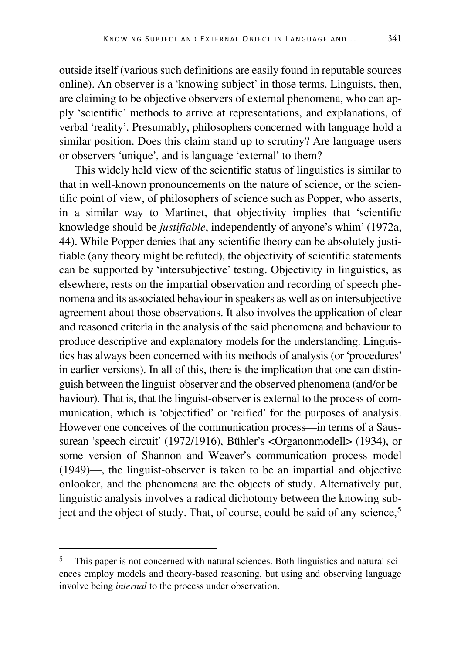outside itself (various such definitions are easily found in reputable sources online). An observer is a 'knowing subject' in those terms. Linguists, then, are claiming to be objective observers of external phenomena, who can apply 'scientific' methods to arrive at representations, and explanations, of verbal 'reality'. Presumably, philosophers concerned with language hold a similar position. Does this claim stand up to scrutiny? Are language users or observers 'unique', and is language 'external' to them?

This widely held view of the scientific status of linguistics is similar to that in well-known pronouncements on the nature of science, or the scientific point of view, of philosophers of science such as Popper, who asserts, in a similar way to Martinet, that objectivity implies that 'scientific knowledge should be *justifiable*, independently of anyone's whim' (1972a, 44). While Popper denies that any scientific theory can be absolutely justifiable (any theory might be refuted), the objectivity of scientific statements can be supported by 'intersubjective' testing. Objectivity in linguistics, as elsewhere, rests on the impartial observation and recording of speech phenomena and its associated behaviour in speakers as well as on intersubjective agreement about those observations. It also involves the application of clear and reasoned criteria in the analysis of the said phenomena and behaviour to produce descriptive and explanatory models for the understanding. Linguistics has always been concerned with its methods of analysis (or 'procedures' in earlier versions). In all of this, there is the implication that one can distinguish between the linguist-observer and the observed phenomena (and/or behaviour). That is, that the linguist-observer is external to the process of communication, which is 'objectified' or 'reified' for the purposes of analysis. However one conceives of the communication process—in terms of a Saussurean 'speech circuit' (1972/1916), Bühler's <Organonmodell> (1934), or some version of Shannon and Weaver's communication process model (1949)—, the linguist-observer is taken to be an impartial and objective onlooker, and the phenomena are the objects of study. Alternatively put, linguistic analysis involves a radical dichotomy between the knowing subject and the object of study. That, of course, could be said of any science, [5](#page-2-0)

<span id="page-2-0"></span><sup>&</sup>lt;sup>5</sup> This paper is not concerned with natural sciences. Both linguistics and natural sciences employ models and theory-based reasoning, but using and observing language involve being *internal* to the process under observation.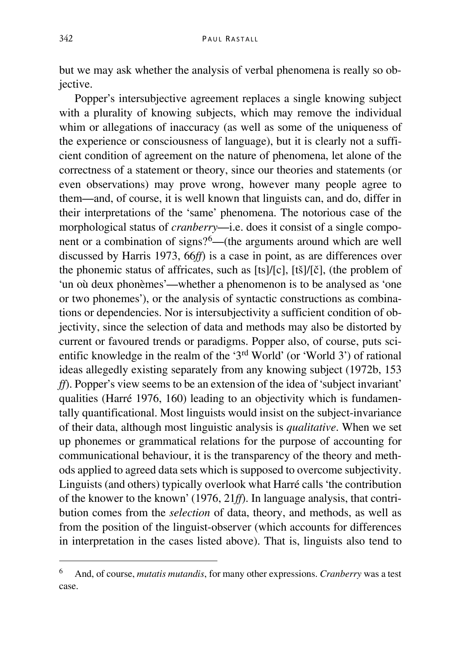but we may ask whether the analysis of verbal phenomena is really so objective.

Popper's intersubjective agreement replaces a single knowing subject with a plurality of knowing subjects, which may remove the individual whim or allegations of inaccuracy (as well as some of the uniqueness of the experience or consciousness of language), but it is clearly not a sufficient condition of agreement on the nature of phenomena, let alone of the correctness of a statement or theory, since our theories and statements (or even observations) may prove wrong, however many people agree to them—and, of course, it is well known that linguists can, and do, differ in their interpretations of the 'same' phenomena. The notorious case of the morphological status of *cranberry*—i.e. does it consist of a single component or a combination of signs?[6](#page-3-0)—(the arguments around which are well discussed by Harris 1973, 66*ff*) is a case in point, as are differences over the phonemic status of affricates, such as [ts]/[c], [tš]/[č], (the problem of 'un où deux phonèmes'—whether a phenomenon is to be analysed as 'one or two phonemes'), or the analysis of syntactic constructions as combinations or dependencies. Nor is intersubjectivity a sufficient condition of objectivity, since the selection of data and methods may also be distorted by current or favoured trends or paradigms. Popper also, of course, puts scientific knowledge in the realm of the '3rd World' (or 'World 3') of rational ideas allegedly existing separately from any knowing subject (1972b, 153 *ff*). Popper's view seems to be an extension of the idea of 'subject invariant' qualities (Harré 1976, 160) leading to an objectivity which is fundamentally quantificational. Most linguists would insist on the subject-invariance of their data, although most linguistic analysis is *qualitative*. When we set up phonemes or grammatical relations for the purpose of accounting for communicational behaviour, it is the transparency of the theory and methods applied to agreed data sets which is supposed to overcome subjectivity. Linguists (and others) typically overlook what Harré calls 'the contribution of the knower to the known' (1976, 21*ff*). In language analysis, that contribution comes from the *selection* of data, theory, and methods, as well as from the position of the linguist-observer (which accounts for differences in interpretation in the cases listed above). That is, linguists also tend to

<span id="page-3-0"></span> <sup>6</sup> And, of course, *mutatis mutandis*, for many other expressions. *Cranberry* was a test case.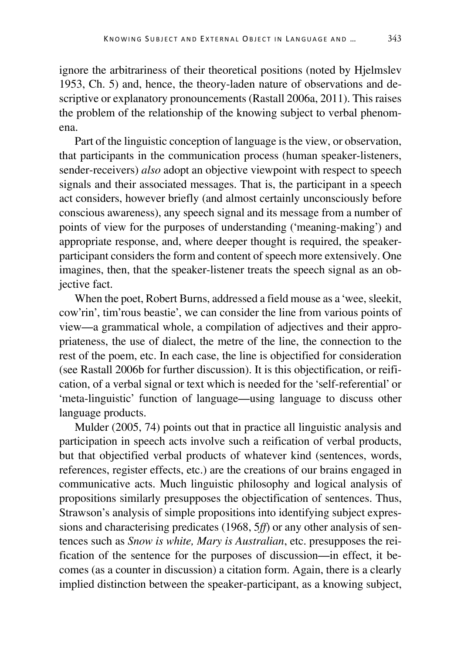ignore the arbitrariness of their theoretical positions (noted by Hjelmslev 1953, Ch. 5) and, hence, the theory-laden nature of observations and descriptive or explanatory pronouncements (Rastall 2006a, 2011). This raises the problem of the relationship of the knowing subject to verbal phenomena.

Part of the linguistic conception of language is the view, or observation, that participants in the communication process (human speaker-listeners, sender-receivers) *also* adopt an objective viewpoint with respect to speech signals and their associated messages. That is, the participant in a speech act considers, however briefly (and almost certainly unconsciously before conscious awareness), any speech signal and its message from a number of points of view for the purposes of understanding ('meaning-making') and appropriate response, and, where deeper thought is required, the speakerparticipant considers the form and content of speech more extensively. One imagines, then, that the speaker-listener treats the speech signal as an objective fact.

When the poet, Robert Burns, addressed a field mouse as a 'wee, sleekit, cow'rin', tim'rous beastie', we can consider the line from various points of view—a grammatical whole, a compilation of adjectives and their appropriateness, the use of dialect, the metre of the line, the connection to the rest of the poem, etc. In each case, the line is objectified for consideration (see Rastall 2006b for further discussion). It is this objectification, or reification, of a verbal signal or text which is needed for the 'self-referential' or 'meta-linguistic' function of language—using language to discuss other language products.

Mulder (2005, 74) points out that in practice all linguistic analysis and participation in speech acts involve such a reification of verbal products, but that objectified verbal products of whatever kind (sentences, words, references, register effects, etc.) are the creations of our brains engaged in communicative acts. Much linguistic philosophy and logical analysis of propositions similarly presupposes the objectification of sentences. Thus, Strawson's analysis of simple propositions into identifying subject expressions and characterising predicates (1968, 5*ff*) or any other analysis of sentences such as *Snow is white, Mary is Australian*, etc. presupposes the reification of the sentence for the purposes of discussion—in effect, it becomes (as a counter in discussion) a citation form. Again, there is a clearly implied distinction between the speaker-participant, as a knowing subject,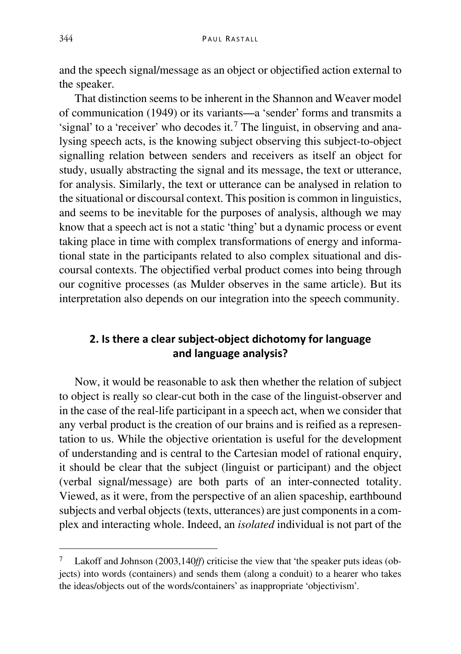and the speech signal/message as an object or objectified action external to the speaker.

That distinction seems to be inherent in the Shannon and Weaver model of communication (1949) or its variants—a 'sender' forms and transmits a 'signal' to a 'receiver' who decodes it.<sup> $7$ </sup> The linguist, in observing and analysing speech acts, is the knowing subject observing this subject-to-object signalling relation between senders and receivers as itself an object for study, usually abstracting the signal and its message, the text or utterance, for analysis. Similarly, the text or utterance can be analysed in relation to the situational or discoursal context. This position is common in linguistics, and seems to be inevitable for the purposes of analysis, although we may know that a speech act is not a static 'thing' but a dynamic process or event taking place in time with complex transformations of energy and informational state in the participants related to also complex situational and discoursal contexts. The objectified verbal product comes into being through our cognitive processes (as Mulder observes in the same article). But its interpretation also depends on our integration into the speech community.

## **2. Is there a clear subject-object dichotomy for language and language analysis?**

Now, it would be reasonable to ask then whether the relation of subject to object is really so clear-cut both in the case of the linguist-observer and in the case of the real-life participant in a speech act, when we consider that any verbal product is the creation of our brains and is reified as a representation to us. While the objective orientation is useful for the development of understanding and is central to the Cartesian model of rational enquiry, it should be clear that the subject (linguist or participant) and the object (verbal signal/message) are both parts of an inter-connected totality. Viewed, as it were, from the perspective of an alien spaceship, earthbound subjects and verbal objects (texts, utterances) are just components in a complex and interacting whole. Indeed, an *isolated* individual is not part of the

<span id="page-5-0"></span>Lakoff and Johnson (2003,140*ff*) criticise the view that 'the speaker puts ideas (objects) into words (containers) and sends them (along a conduit) to a hearer who takes the ideas/objects out of the words/containers' as inappropriate 'objectivism'.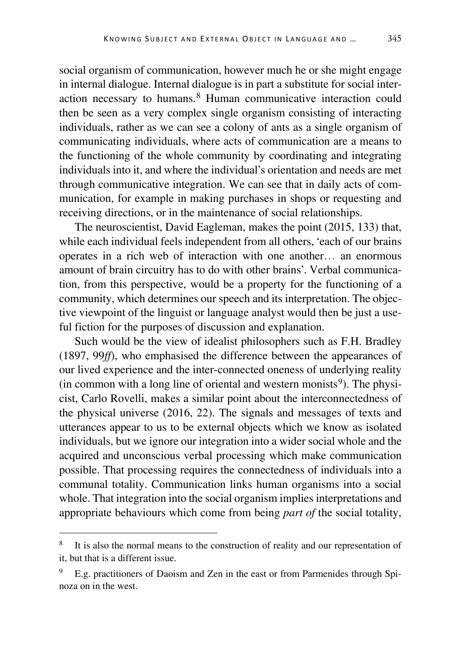social organism of communication, however much he or she might engage in internal dialogue. Internal dialogue is in part a substitute for social interaction necessary to humans. [8](#page-6-0) Human communicative interaction could then be seen as a very complex single organism consisting of interacting individuals, rather as we can see a colony of ants as a single organism of communicating individuals, where acts of communication are a means to the functioning of the whole community by coordinating and integrating individuals into it, and where the individual's orientation and needs are met through communicative integration. We can see that in daily acts of communication, for example in making purchases in shops or requesting and receiving directions, or in the maintenance of social relationships.

The neuroscientist, David Eagleman, makes the point (2015, 133) that, while each individual feels independent from all others, 'each of our brains operates in a rich web of interaction with one another… an enormous amount of brain circuitry has to do with other brains'. Verbal communication, from this perspective, would be a property for the functioning of a community, which determines our speech and its interpretation. The objective viewpoint of the linguist or language analyst would then be just a useful fiction for the purposes of discussion and explanation.

Such would be the view of idealist philosophers such as F.H. Bradley (1897, 99*ff*), who emphasised the difference between the appearances of our lived experience and the inter-connected oneness of underlying reality (in common with a long line of oriental and western monists $9$ ). The physicist, Carlo Rovelli, makes a similar point about the interconnectedness of the physical universe (2016, 22). The signals and messages of texts and utterances appear to us to be external objects which we know as isolated individuals, but we ignore our integration into a wider social whole and the acquired and unconscious verbal processing which make communication possible. That processing requires the connectedness of individuals into a communal totality. Communication links human organisms into a social whole. That integration into the social organism implies interpretations and appropriate behaviours which come from being *part of* the social totality,

<span id="page-6-0"></span>It is also the normal means to the construction of reality and our representation of it, but that is a different issue.

<span id="page-6-1"></span>E.g. practitioners of Daoism and Zen in the east or from Parmenides through Spinoza on in the west.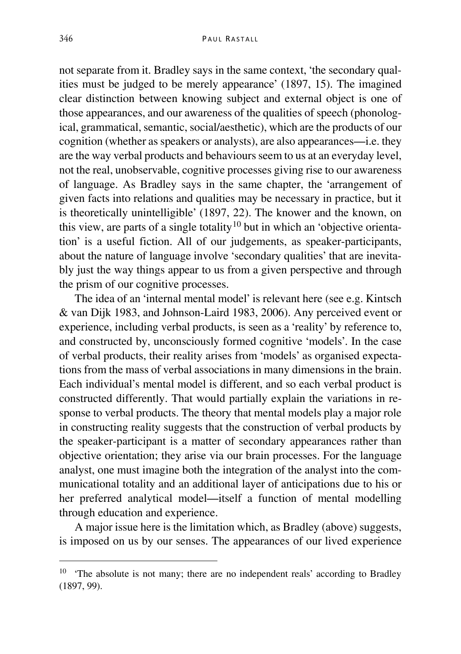not separate from it. Bradley says in the same context, 'the secondary qualities must be judged to be merely appearance' (1897, 15). The imagined clear distinction between knowing subject and external object is one of those appearances, and our awareness of the qualities of speech (phonological, grammatical, semantic, social/aesthetic), which are the products of our cognition (whether as speakers or analysts), are also appearances—i.e. they are the way verbal products and behaviours seem to us at an everyday level, not the real, unobservable, cognitive processes giving rise to our awareness of language. As Bradley says in the same chapter, the 'arrangement of given facts into relations and qualities may be necessary in practice, but it is theoretically unintelligible' (1897, 22). The knower and the known, on this view, are parts of a single totality<sup>[10](#page-7-0)</sup> but in which an 'objective orientation' is a useful fiction. All of our judgements, as speaker-participants, about the nature of language involve 'secondary qualities' that are inevitably just the way things appear to us from a given perspective and through the prism of our cognitive processes.

The idea of an 'internal mental model' is relevant here (see e.g. Kintsch & van Dijk 1983, and Johnson-Laird 1983, 2006). Any perceived event or experience, including verbal products, is seen as a 'reality' by reference to, and constructed by, unconsciously formed cognitive 'models'. In the case of verbal products, their reality arises from 'models' as organised expectations from the mass of verbal associations in many dimensions in the brain. Each individual's mental model is different, and so each verbal product is constructed differently. That would partially explain the variations in response to verbal products. The theory that mental models play a major role in constructing reality suggests that the construction of verbal products by the speaker-participant is a matter of secondary appearances rather than objective orientation; they arise via our brain processes. For the language analyst, one must imagine both the integration of the analyst into the communicational totality and an additional layer of anticipations due to his or her preferred analytical model—itself a function of mental modelling through education and experience.

A major issue here is the limitation which, as Bradley (above) suggests, is imposed on us by our senses. The appearances of our lived experience

<span id="page-7-0"></span><sup>&</sup>lt;sup>10</sup> 'The absolute is not many; there are no independent reals' according to Bradley (1897, 99).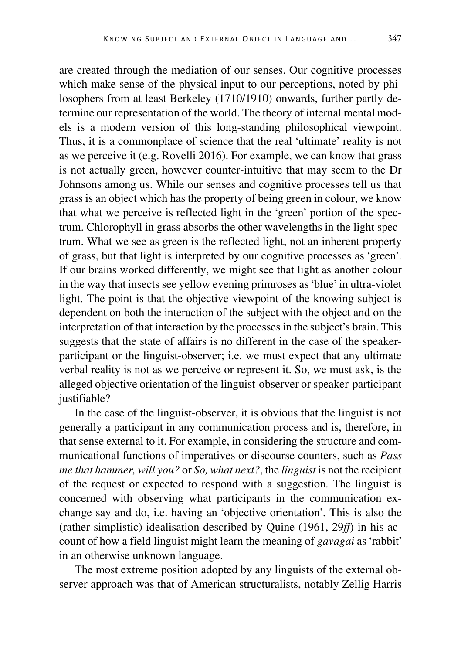are created through the mediation of our senses. Our cognitive processes which make sense of the physical input to our perceptions, noted by philosophers from at least Berkeley (1710/1910) onwards, further partly determine our representation of the world. The theory of internal mental models is a modern version of this long-standing philosophical viewpoint. Thus, it is a commonplace of science that the real 'ultimate' reality is not as we perceive it (e.g. Rovelli 2016). For example, we can know that grass is not actually green, however counter-intuitive that may seem to the Dr Johnsons among us. While our senses and cognitive processes tell us that grass is an object which has the property of being green in colour, we know that what we perceive is reflected light in the 'green' portion of the spectrum. Chlorophyll in grass absorbs the other wavelengths in the light spectrum. What we see as green is the reflected light, not an inherent property of grass, but that light is interpreted by our cognitive processes as 'green'. If our brains worked differently, we might see that light as another colour in the way that insects see yellow evening primroses as 'blue' in ultra-violet light. The point is that the objective viewpoint of the knowing subject is dependent on both the interaction of the subject with the object and on the interpretation of that interaction by the processes in the subject's brain. This suggests that the state of affairs is no different in the case of the speakerparticipant or the linguist-observer; i.e. we must expect that any ultimate verbal reality is not as we perceive or represent it. So, we must ask, is the alleged objective orientation of the linguist-observer or speaker-participant

In the case of the linguist-observer, it is obvious that the linguist is not generally a participant in any communication process and is, therefore, in that sense external to it. For example, in considering the structure and communicational functions of imperatives or discourse counters, such as *Pass me that hammer, will you?* or *So, what next?*, the *linguist* is not the recipient of the request or expected to respond with a suggestion. The linguist is concerned with observing what participants in the communication exchange say and do, i.e. having an 'objective orientation'. This is also the (rather simplistic) idealisation described by Quine (1961, 29*ff*) in his account of how a field linguist might learn the meaning of *gavagai* as 'rabbit' in an otherwise unknown language.

justifiable?

The most extreme position adopted by any linguists of the external observer approach was that of American structuralists, notably Zellig Harris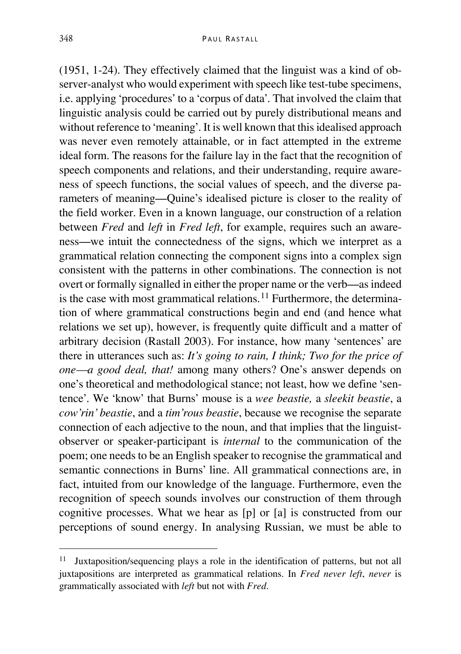(1951, 1-24). They effectively claimed that the linguist was a kind of observer-analyst who would experiment with speech like test-tube specimens, i.e. applying 'procedures' to a 'corpus of data'. That involved the claim that linguistic analysis could be carried out by purely distributional means and without reference to 'meaning'. It is well known that this idealised approach was never even remotely attainable, or in fact attempted in the extreme ideal form. The reasons for the failure lay in the fact that the recognition of speech components and relations, and their understanding, require awareness of speech functions, the social values of speech, and the diverse parameters of meaning—Quine's idealised picture is closer to the reality of the field worker. Even in a known language, our construction of a relation between *Fred* and *left* in *Fred left*, for example, requires such an awareness—we intuit the connectedness of the signs, which we interpret as a grammatical relation connecting the component signs into a complex sign consistent with the patterns in other combinations. The connection is not overt or formally signalled in either the proper name or the verb—as indeed is the case with most grammatical relations.<sup>[11](#page-9-0)</sup> Furthermore, the determination of where grammatical constructions begin and end (and hence what relations we set up), however, is frequently quite difficult and a matter of arbitrary decision (Rastall 2003). For instance, how many 'sentences' are there in utterances such as: *It's going to rain, I think; Two for the price of one—a good deal, that!* among many others? One's answer depends on one's theoretical and methodological stance; not least, how we define 'sentence'. We 'know' that Burns' mouse is a *wee beastie,* a *sleekit beastie*, a *cow'rin' beastie*, and a *tim'rous beastie*, because we recognise the separate connection of each adjective to the noun, and that implies that the linguistobserver or speaker-participant is *internal* to the communication of the poem; one needs to be an English speaker to recognise the grammatical and semantic connections in Burns' line. All grammatical connections are, in fact, intuited from our knowledge of the language. Furthermore, even the recognition of speech sounds involves our construction of them through cognitive processes. What we hear as [p] or [a] is constructed from our perceptions of sound energy. In analysing Russian, we must be able to

<span id="page-9-0"></span> <sup>11</sup> Juxtaposition/sequencing plays a role in the identification of patterns, but not all juxtapositions are interpreted as grammatical relations. In *Fred never left*, *never* is grammatically associated with *left* but not with *Fred*.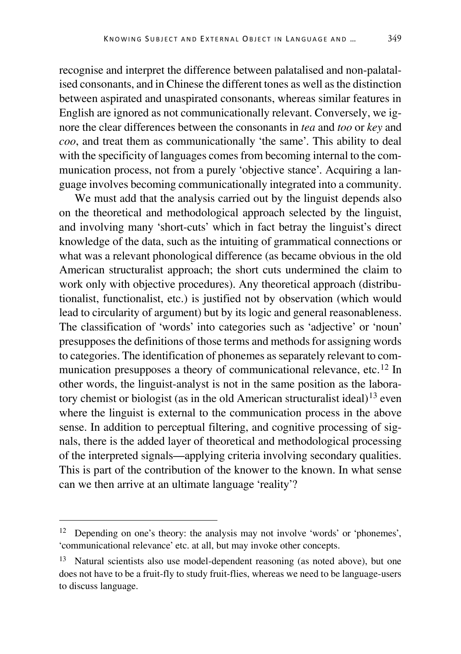recognise and interpret the difference between palatalised and non-palatalised consonants, and in Chinese the different tones as well as the distinction between aspirated and unaspirated consonants, whereas similar features in English are ignored as not communicationally relevant. Conversely, we ignore the clear differences between the consonants in *tea* and *too* or *key* and *coo*, and treat them as communicationally 'the same'. This ability to deal with the specificity of languages comes from becoming internal to the communication process, not from a purely 'objective stance'. Acquiring a lan-

guage involves becoming communicationally integrated into a community. We must add that the analysis carried out by the linguist depends also on the theoretical and methodological approach selected by the linguist, and involving many 'short-cuts' which in fact betray the linguist's direct knowledge of the data, such as the intuiting of grammatical connections or what was a relevant phonological difference (as became obvious in the old American structuralist approach; the short cuts undermined the claim to work only with objective procedures). Any theoretical approach (distributionalist, functionalist, etc.) is justified not by observation (which would lead to circularity of argument) but by its logic and general reasonableness. The classification of 'words' into categories such as 'adjective' or 'noun' presupposes the definitions of those terms and methods for assigning words to categories. The identification of phonemes as separately relevant to communication presupposes a theory of communicational relevance, etc.[12](#page-10-0) In other words, the linguist-analyst is not in the same position as the labora-tory chemist or biologist (as in the old American structuralist ideal)<sup>[13](#page-10-1)</sup> even where the linguist is external to the communication process in the above sense. In addition to perceptual filtering, and cognitive processing of signals, there is the added layer of theoretical and methodological processing of the interpreted signals—applying criteria involving secondary qualities. This is part of the contribution of the knower to the known. In what sense can we then arrive at an ultimate language 'reality'?

<span id="page-10-0"></span> <sup>12</sup> Depending on one's theory: the analysis may not involve 'words' or 'phonemes', 'communicational relevance' etc. at all, but may invoke other concepts.

<span id="page-10-1"></span><sup>&</sup>lt;sup>13</sup> Natural scientists also use model-dependent reasoning (as noted above), but one does not have to be a fruit-fly to study fruit-flies, whereas we need to be language-users to discuss language.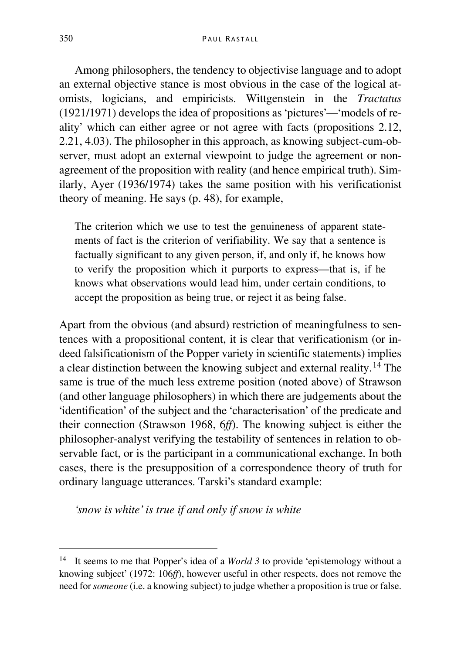Among philosophers, the tendency to objectivise language and to adopt an external objective stance is most obvious in the case of the logical atomists, logicians, and empiricists. Wittgenstein in the *Tractatus* (1921/1971) develops the idea of propositions as 'pictures'—'models of reality' which can either agree or not agree with facts (propositions 2.12, 2.21, 4.03). The philosopher in this approach, as knowing subject-cum-observer, must adopt an external viewpoint to judge the agreement or nonagreement of the proposition with reality (and hence empirical truth). Similarly, Ayer (1936/1974) takes the same position with his verificationist theory of meaning. He says (p. 48), for example,

The criterion which we use to test the genuineness of apparent statements of fact is the criterion of verifiability. We say that a sentence is factually significant to any given person, if, and only if, he knows how to verify the proposition which it purports to express—that is, if he knows what observations would lead him, under certain conditions, to accept the proposition as being true, or reject it as being false.

Apart from the obvious (and absurd) restriction of meaningfulness to sentences with a propositional content, it is clear that verificationism (or indeed falsificationism of the Popper variety in scientific statements) implies a clear distinction between the knowing subject and external reality. [14](#page-11-0) The same is true of the much less extreme position (noted above) of Strawson (and other language philosophers) in which there are judgements about the 'identification' of the subject and the 'characterisation' of the predicate and their connection (Strawson 1968, 6*ff*). The knowing subject is either the philosopher-analyst verifying the testability of sentences in relation to observable fact, or is the participant in a communicational exchange. In both cases, there is the presupposition of a correspondence theory of truth for ordinary language utterances. Tarski's standard example:

*'snow is white' is true if and only if snow is white*

<span id="page-11-0"></span> <sup>14</sup> It seems to me that Popper's idea of a *World 3* to provide 'epistemology without a knowing subject' (1972: 106*ff*), however useful in other respects, does not remove the need for *someone* (i.e. a knowing subject) to judge whether a proposition is true or false.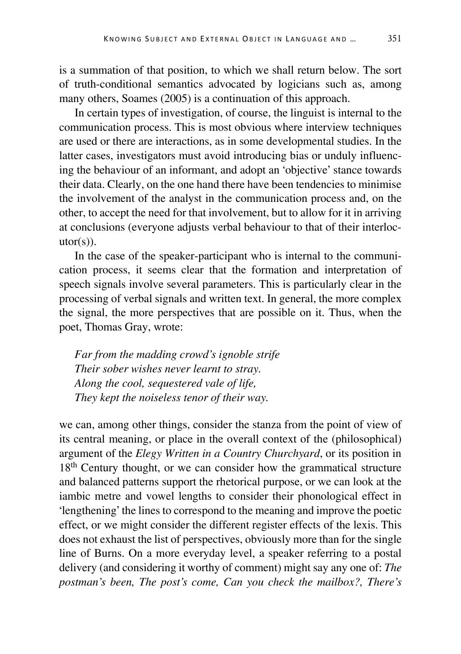is a summation of that position, to which we shall return below. The sort of truth-conditional semantics advocated by logicians such as, among many others, Soames (2005) is a continuation of this approach.

In certain types of investigation, of course, the linguist is internal to the communication process. This is most obvious where interview techniques are used or there are interactions, as in some developmental studies. In the latter cases, investigators must avoid introducing bias or unduly influencing the behaviour of an informant, and adopt an 'objective' stance towards their data. Clearly, on the one hand there have been tendencies to minimise the involvement of the analyst in the communication process and, on the other, to accept the need for that involvement, but to allow for it in arriving at conclusions (everyone adjusts verbal behaviour to that of their interloc $utor(s)$ ).

In the case of the speaker-participant who is internal to the communication process, it seems clear that the formation and interpretation of speech signals involve several parameters. This is particularly clear in the processing of verbal signals and written text. In general, the more complex the signal, the more perspectives that are possible on it. Thus, when the poet, Thomas Gray, wrote:

*Far from the madding crowd's ignoble strife Their sober wishes never learnt to stray. Along the cool, sequestered vale of life, They kept the noiseless tenor of their way.*

we can, among other things, consider the stanza from the point of view of its central meaning, or place in the overall context of the (philosophical) argument of the *Elegy Written in a Country Churchyard*, or its position in 18<sup>th</sup> Century thought, or we can consider how the grammatical structure and balanced patterns support the rhetorical purpose, or we can look at the iambic metre and vowel lengths to consider their phonological effect in 'lengthening' the lines to correspond to the meaning and improve the poetic effect, or we might consider the different register effects of the lexis. This does not exhaust the list of perspectives, obviously more than for the single line of Burns. On a more everyday level, a speaker referring to a postal delivery (and considering it worthy of comment) might say any one of: *The postman's been, The post's come, Can you check the mailbox?, There's*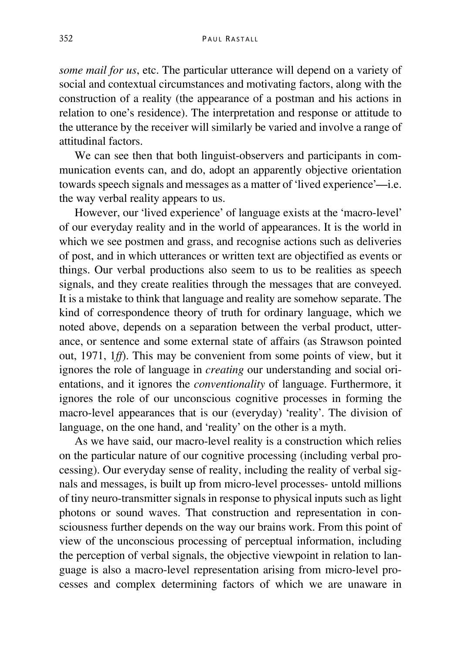*some mail for us*, etc. The particular utterance will depend on a variety of social and contextual circumstances and motivating factors, along with the construction of a reality (the appearance of a postman and his actions in relation to one's residence). The interpretation and response or attitude to the utterance by the receiver will similarly be varied and involve a range of attitudinal factors.

We can see then that both linguist-observers and participants in communication events can, and do, adopt an apparently objective orientation towards speech signals and messages as a matter of 'lived experience'—i.e. the way verbal reality appears to us.

However, our 'lived experience' of language exists at the 'macro-level' of our everyday reality and in the world of appearances. It is the world in which we see postmen and grass, and recognise actions such as deliveries of post, and in which utterances or written text are objectified as events or things. Our verbal productions also seem to us to be realities as speech signals, and they create realities through the messages that are conveyed. It is a mistake to think that language and reality are somehow separate. The kind of correspondence theory of truth for ordinary language, which we noted above, depends on a separation between the verbal product, utterance, or sentence and some external state of affairs (as Strawson pointed out, 1971, 1*ff*). This may be convenient from some points of view, but it ignores the role of language in *creating* our understanding and social orientations, and it ignores the *conventionality* of language. Furthermore, it ignores the role of our unconscious cognitive processes in forming the macro-level appearances that is our (everyday) 'reality'. The division of language, on the one hand, and 'reality' on the other is a myth.

As we have said, our macro-level reality is a construction which relies on the particular nature of our cognitive processing (including verbal processing). Our everyday sense of reality, including the reality of verbal signals and messages, is built up from micro-level processes- untold millions of tiny neuro-transmitter signals in response to physical inputs such as light photons or sound waves. That construction and representation in consciousness further depends on the way our brains work. From this point of view of the unconscious processing of perceptual information, including the perception of verbal signals, the objective viewpoint in relation to language is also a macro-level representation arising from micro-level processes and complex determining factors of which we are unaware in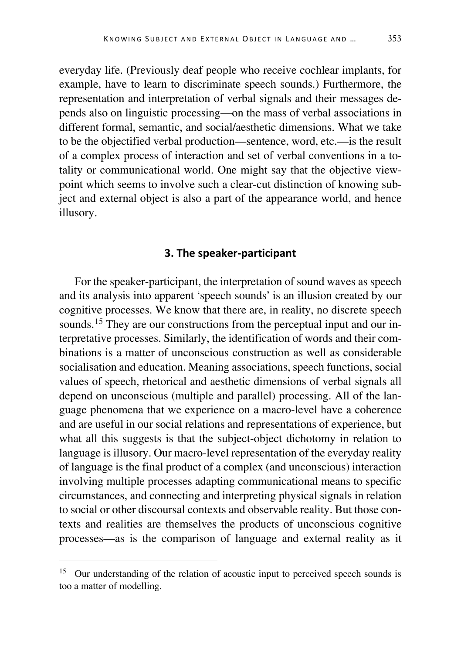everyday life. (Previously deaf people who receive cochlear implants, for example, have to learn to discriminate speech sounds.) Furthermore, the representation and interpretation of verbal signals and their messages depends also on linguistic processing—on the mass of verbal associations in different formal, semantic, and social/aesthetic dimensions. What we take to be the objectified verbal production—sentence, word, etc.—is the result of a complex process of interaction and set of verbal conventions in a totality or communicational world. One might say that the objective viewpoint which seems to involve such a clear-cut distinction of knowing subject and external object is also a part of the appearance world, and hence illusory.

#### **3. The speaker-participant**

For the speaker-participant, the interpretation of sound waves as speech and its analysis into apparent 'speech sounds' is an illusion created by our cognitive processes. We know that there are, in reality, no discrete speech sounds.<sup>[15](#page-14-0)</sup> They are our constructions from the perceptual input and our interpretative processes. Similarly, the identification of words and their combinations is a matter of unconscious construction as well as considerable socialisation and education. Meaning associations, speech functions, social values of speech, rhetorical and aesthetic dimensions of verbal signals all depend on unconscious (multiple and parallel) processing. All of the language phenomena that we experience on a macro-level have a coherence and are useful in our social relations and representations of experience, but what all this suggests is that the subject-object dichotomy in relation to language is illusory. Our macro-level representation of the everyday reality of language is the final product of a complex (and unconscious) interaction involving multiple processes adapting communicational means to specific circumstances, and connecting and interpreting physical signals in relation to social or other discoursal contexts and observable reality. But those contexts and realities are themselves the products of unconscious cognitive processes—as is the comparison of language and external reality as it

<span id="page-14-0"></span><sup>&</sup>lt;sup>15</sup> Our understanding of the relation of acoustic input to perceived speech sounds is too a matter of modelling.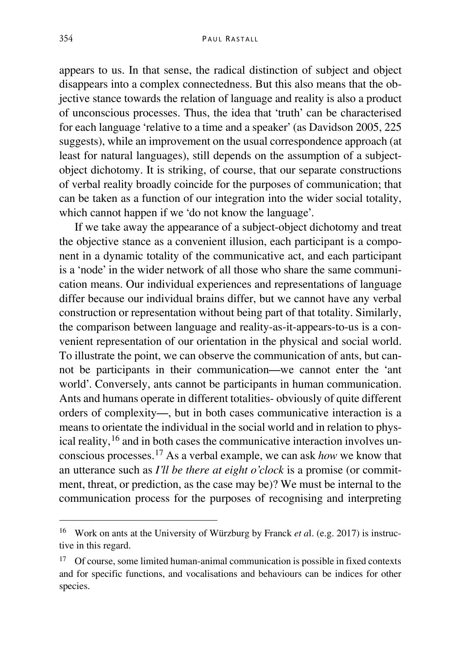appears to us. In that sense, the radical distinction of subject and object disappears into a complex connectedness. But this also means that the objective stance towards the relation of language and reality is also a product of unconscious processes. Thus, the idea that 'truth' can be characterised for each language 'relative to a time and a speaker' (as Davidson 2005, 225 suggests), while an improvement on the usual correspondence approach (at least for natural languages), still depends on the assumption of a subjectobject dichotomy. It is striking, of course, that our separate constructions of verbal reality broadly coincide for the purposes of communication; that can be taken as a function of our integration into the wider social totality, which cannot happen if we 'do not know the language'.

If we take away the appearance of a subject-object dichotomy and treat the objective stance as a convenient illusion, each participant is a component in a dynamic totality of the communicative act, and each participant is a 'node' in the wider network of all those who share the same communication means. Our individual experiences and representations of language differ because our individual brains differ, but we cannot have any verbal construction or representation without being part of that totality. Similarly, the comparison between language and reality-as-it-appears-to-us is a convenient representation of our orientation in the physical and social world. To illustrate the point, we can observe the communication of ants, but cannot be participants in their communication—we cannot enter the 'ant world'. Conversely, ants cannot be participants in human communication. Ants and humans operate in different totalities- obviously of quite different orders of complexity—, but in both cases communicative interaction is a means to orientate the individual in the social world and in relation to physical reality, [16](#page-15-0) and in both cases the communicative interaction involves unconscious processes. [17](#page-15-1) As a verbal example, we can ask *how* we know that an utterance such as *I'll be there at eight o'clock* is a promise (or commitment, threat, or prediction, as the case may be)? We must be internal to the communication process for the purposes of recognising and interpreting

<span id="page-15-0"></span> <sup>16</sup> Work on ants at the University of Würzburg by Franck *et a*l. (e.g. 2017) is instructive in this regard.

<span id="page-15-1"></span> $17$  Of course, some limited human-animal communication is possible in fixed contexts and for specific functions, and vocalisations and behaviours can be indices for other species.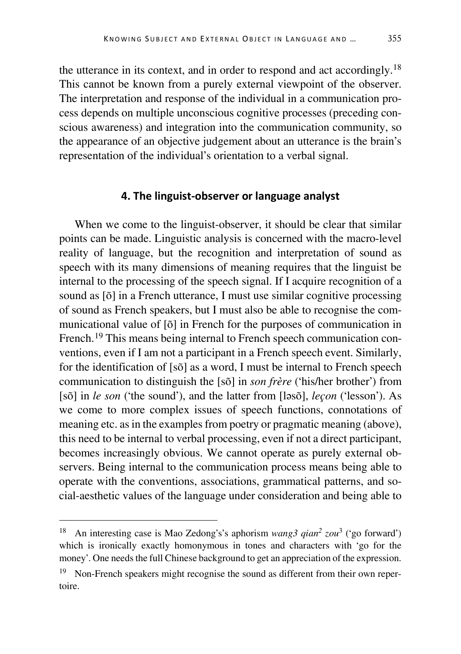the utterance in its context, and in order to respond and act accordingly.<sup>[18](#page-16-0)</sup> This cannot be known from a purely external viewpoint of the observer. The interpretation and response of the individual in a communication process depends on multiple unconscious cognitive processes (preceding conscious awareness) and integration into the communication community, so the appearance of an objective judgement about an utterance is the brain's representation of the individual's orientation to a verbal signal.

#### **4. The linguist-observer or language analyst**

When we come to the linguist-observer, it should be clear that similar points can be made. Linguistic analysis is concerned with the macro-level reality of language, but the recognition and interpretation of sound as speech with its many dimensions of meaning requires that the linguist be internal to the processing of the speech signal. If I acquire recognition of a sound as [õ] in a French utterance, I must use similar cognitive processing of sound as French speakers, but I must also be able to recognise the communicational value of [õ] in French for the purposes of communication in French.<sup>[19](#page-16-1)</sup> This means being internal to French speech communication conventions, even if I am not a participant in a French speech event. Similarly, for the identification of [sõ] as a word, I must be internal to French speech communication to distinguish the [sõ] in *son frère* ('his/her brother') from [sõ] in *le son* ('the sound'), and the latter from [ləsõ], *leçon* ('lesson'). As we come to more complex issues of speech functions, connotations of meaning etc. as in the examples from poetry or pragmatic meaning (above), this need to be internal to verbal processing, even if not a direct participant, becomes increasingly obvious. We cannot operate as purely external observers. Being internal to the communication process means being able to operate with the conventions, associations, grammatical patterns, and social-aesthetic values of the language under consideration and being able to

<span id="page-16-0"></span> <sup>18</sup> An interesting case is Mao Zedong's's aphorism *wang3 qian2 zou*<sup>3</sup> ('go forward') which is ironically exactly homonymous in tones and characters with 'go for the money'. One needs the full Chinese background to get an appreciation of the expression.

<span id="page-16-1"></span><sup>&</sup>lt;sup>19</sup> Non-French speakers might recognise the sound as different from their own repertoire.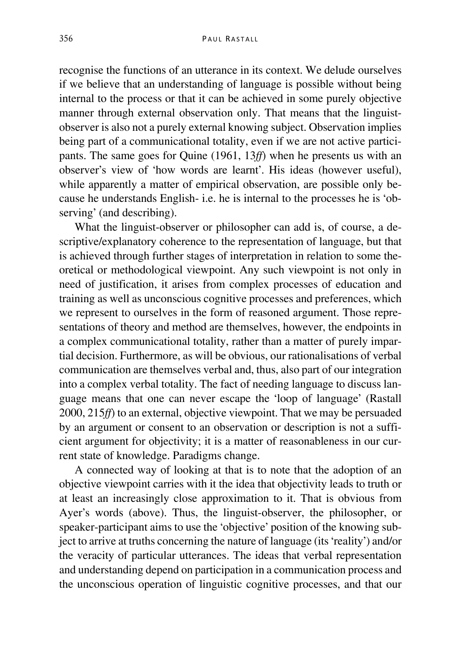recognise the functions of an utterance in its context. We delude ourselves if we believe that an understanding of language is possible without being internal to the process or that it can be achieved in some purely objective manner through external observation only. That means that the linguistobserver is also not a purely external knowing subject. Observation implies being part of a communicational totality, even if we are not active participants. The same goes for Quine (1961, 13*ff*) when he presents us with an observer's view of 'how words are learnt'. His ideas (however useful), while apparently a matter of empirical observation, are possible only because he understands English- i.e. he is internal to the processes he is 'observing' (and describing).

What the linguist-observer or philosopher can add is, of course, a descriptive/explanatory coherence to the representation of language, but that is achieved through further stages of interpretation in relation to some theoretical or methodological viewpoint. Any such viewpoint is not only in need of justification, it arises from complex processes of education and training as well as unconscious cognitive processes and preferences, which we represent to ourselves in the form of reasoned argument. Those representations of theory and method are themselves, however, the endpoints in a complex communicational totality, rather than a matter of purely impartial decision. Furthermore, as will be obvious, our rationalisations of verbal communication are themselves verbal and, thus, also part of our integration into a complex verbal totality. The fact of needing language to discuss language means that one can never escape the 'loop of language' (Rastall 2000, 215*ff*) to an external, objective viewpoint. That we may be persuaded by an argument or consent to an observation or description is not a sufficient argument for objectivity; it is a matter of reasonableness in our current state of knowledge. Paradigms change.

A connected way of looking at that is to note that the adoption of an objective viewpoint carries with it the idea that objectivity leads to truth or at least an increasingly close approximation to it. That is obvious from Ayer's words (above). Thus, the linguist-observer, the philosopher, or speaker-participant aims to use the 'objective' position of the knowing subject to arrive at truths concerning the nature of language (its 'reality') and/or the veracity of particular utterances. The ideas that verbal representation and understanding depend on participation in a communication process and the unconscious operation of linguistic cognitive processes, and that our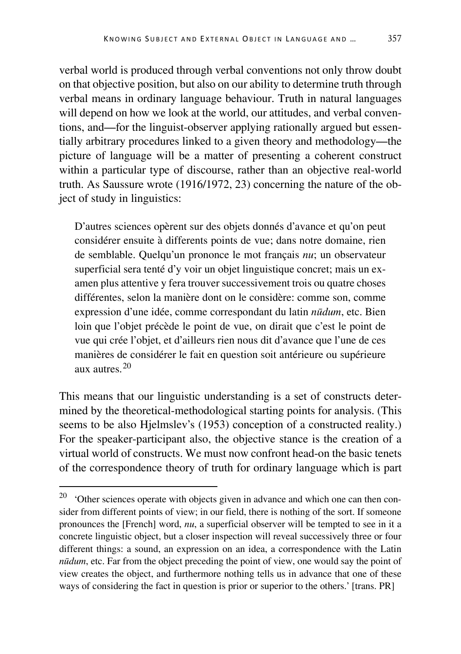verbal world is produced through verbal conventions not only throw doubt on that objective position, but also on our ability to determine truth through verbal means in ordinary language behaviour. Truth in natural languages will depend on how we look at the world, our attitudes, and verbal conventions, and—for the linguist-observer applying rationally argued but essentially arbitrary procedures linked to a given theory and methodology—the picture of language will be a matter of presenting a coherent construct within a particular type of discourse, rather than an objective real-world truth. As Saussure wrote (1916/1972, 23) concerning the nature of the object of study in linguistics:

D'autres sciences opèrent sur des objets donnés d'avance et qu'on peut considérer ensuite à differents points de vue; dans notre domaine, rien de semblable. Quelqu'un prononce le mot français *nu*; un observateur superficial sera tenté d'y voir un objet linguistique concret; mais un examen plus attentive y fera trouver successivement trois ou quatre choses différentes, selon la manière dont on le considère: comme son, comme expression d'une idée, comme correspondant du latin *nūdum*, etc. Bien loin que l'objet précède le point de vue, on dirait que c'est le point de vue qui crée l'objet, et d'ailleurs rien nous dit d'avance que l'une de ces manières de considérer le fait en question soit antérieure ou supérieure aux autres.[20](#page-18-0)

This means that our linguistic understanding is a set of constructs determined by the theoretical-methodological starting points for analysis. (This seems to be also Hjelmslev's (1953) conception of a constructed reality.) For the speaker-participant also, the objective stance is the creation of a virtual world of constructs. We must now confront head-on the basic tenets of the correspondence theory of truth for ordinary language which is part

<span id="page-18-0"></span> $20$  'Other sciences operate with objects given in advance and which one can then consider from different points of view; in our field, there is nothing of the sort. If someone pronounces the [French] word, *nu*, a superficial observer will be tempted to see in it a concrete linguistic object, but a closer inspection will reveal successively three or four different things: a sound, an expression on an idea, a correspondence with the Latin *nūdum*, etc. Far from the object preceding the point of view, one would say the point of view creates the object, and furthermore nothing tells us in advance that one of these ways of considering the fact in question is prior or superior to the others.' [trans. PR]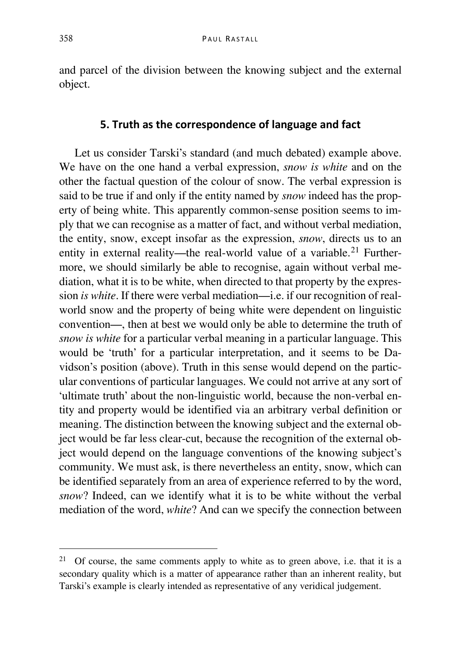and parcel of the division between the knowing subject and the external object.

#### **5. Truth as the correspondence of language and fact**

Let us consider Tarski's standard (and much debated) example above. We have on the one hand a verbal expression, *snow is white* and on the other the factual question of the colour of snow. The verbal expression is said to be true if and only if the entity named by *snow* indeed has the property of being white. This apparently common-sense position seems to imply that we can recognise as a matter of fact, and without verbal mediation, the entity, snow, except insofar as the expression, *snow*, directs us to an entity in external reality—the real-world value of a variable.<sup>[21](#page-19-0)</sup> Furthermore, we should similarly be able to recognise, again without verbal mediation, what it is to be white, when directed to that property by the expression *is white*. If there were verbal mediation—i.e. if our recognition of realworld snow and the property of being white were dependent on linguistic convention—, then at best we would only be able to determine the truth of *snow is white* for a particular verbal meaning in a particular language. This would be 'truth' for a particular interpretation, and it seems to be Davidson's position (above). Truth in this sense would depend on the particular conventions of particular languages. We could not arrive at any sort of 'ultimate truth' about the non-linguistic world, because the non-verbal entity and property would be identified via an arbitrary verbal definition or meaning. The distinction between the knowing subject and the external object would be far less clear-cut, because the recognition of the external object would depend on the language conventions of the knowing subject's community. We must ask, is there nevertheless an entity, snow, which can be identified separately from an area of experience referred to by the word, *snow*? Indeed, can we identify what it is to be white without the verbal mediation of the word, *white*? And can we specify the connection between

<span id="page-19-0"></span><sup>&</sup>lt;sup>21</sup> Of course, the same comments apply to white as to green above, i.e. that it is a secondary quality which is a matter of appearance rather than an inherent reality, but Tarski's example is clearly intended as representative of any veridical judgement.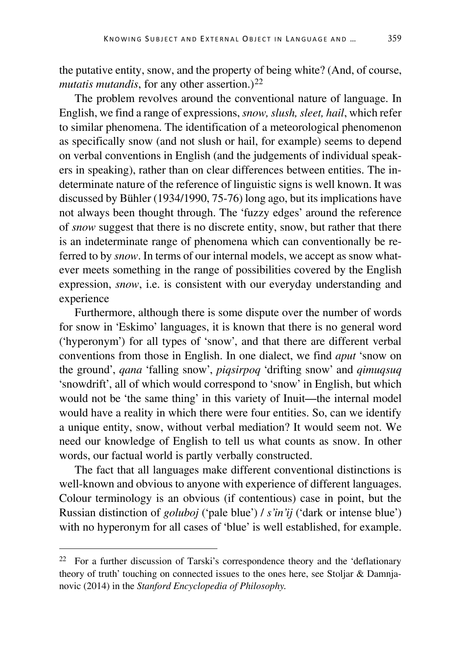the putative entity, snow, and the property of being white? (And, of course, *mutatis mutandis*, for any other assertion.)<sup>[22](#page-20-0)</sup>

The problem revolves around the conventional nature of language. In English, we find a range of expressions, *snow, slush, sleet, hail*, which refer to similar phenomena. The identification of a meteorological phenomenon as specifically snow (and not slush or hail, for example) seems to depend on verbal conventions in English (and the judgements of individual speakers in speaking), rather than on clear differences between entities. The indeterminate nature of the reference of linguistic signs is well known. It was discussed by Bühler (1934/1990, 75-76) long ago, but its implications have not always been thought through. The 'fuzzy edges' around the reference of *snow* suggest that there is no discrete entity, snow, but rather that there is an indeterminate range of phenomena which can conventionally be referred to by *snow*. In terms of our internal models, we accept as snow whatever meets something in the range of possibilities covered by the English expression, *snow*, i.e. is consistent with our everyday understanding and experience

Furthermore, although there is some dispute over the number of words for snow in 'Eskimo' languages, it is known that there is no general word ('hyperonym') for all types of 'snow', and that there are different verbal conventions from those in English. In one dialect, we find *aput* 'snow on the ground', *qana* 'falling snow', *piqsirpoq* 'drifting snow' and *qimuqsuq* 'snowdrift', all of which would correspond to 'snow' in English, but which would not be 'the same thing' in this variety of Inuit—the internal model would have a reality in which there were four entities. So, can we identify a unique entity, snow, without verbal mediation? It would seem not. We need our knowledge of English to tell us what counts as snow. In other words, our factual world is partly verbally constructed.

The fact that all languages make different conventional distinctions is well-known and obvious to anyone with experience of different languages. Colour terminology is an obvious (if contentious) case in point, but the Russian distinction of *goluboj* ('pale blue') / *s'in'ij* ('dark or intense blue') with no hyperonym for all cases of 'blue' is well established, for example.

<span id="page-20-0"></span> <sup>22</sup> For a further discussion of Tarski's correspondence theory and the 'deflationary theory of truth' touching on connected issues to the ones here, see Stoljar & Damnjanovic (2014) in the *Stanford Encyclopedia of Philosophy.*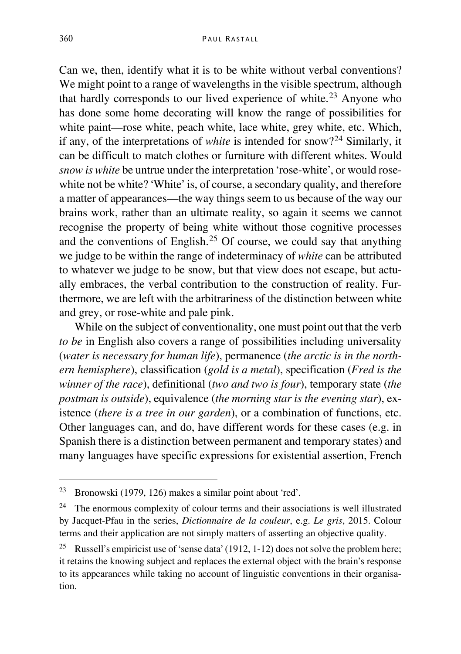Can we, then, identify what it is to be white without verbal conventions? We might point to a range of wavelengths in the visible spectrum, although that hardly corresponds to our lived experience of white. [23](#page-21-0) Anyone who has done some home decorating will know the range of possibilities for white paint—rose white, peach white, lace white, grey white, etc. Which, if any, of the interpretations of *white* is intended for snow?[24](#page-21-1) Similarly, it can be difficult to match clothes or furniture with different whites. Would *snow is white* be untrue under the interpretation 'rose-white', or would rosewhite not be white? 'White' is, of course, a secondary quality, and therefore a matter of appearances—the way things seem to us because of the way our brains work, rather than an ultimate reality, so again it seems we cannot recognise the property of being white without those cognitive processes and the conventions of English. [25](#page-21-2) Of course, we could say that anything we judge to be within the range of indeterminacy of *white* can be attributed to whatever we judge to be snow, but that view does not escape, but actually embraces, the verbal contribution to the construction of reality. Furthermore, we are left with the arbitrariness of the distinction between white and grey, or rose-white and pale pink.

While on the subject of conventionality, one must point out that the verb *to be* in English also covers a range of possibilities including universality (*water is necessary for human life*), permanence (*the arctic is in the northern hemisphere*), classification (*gold is a metal*), specification (*Fred is the winner of the race*), definitional (*two and two is four*), temporary state (*the postman is outside*), equivalence (*the morning star is the evening star*), existence (*there is a tree in our garden*), or a combination of functions, etc. Other languages can, and do, have different words for these cases (e.g. in Spanish there is a distinction between permanent and temporary states) and many languages have specific expressions for existential assertion, French

<span id="page-21-0"></span> <sup>23</sup> Bronowski (1979, 126) makes a similar point about 'red'.

<span id="page-21-1"></span> $24$  The enormous complexity of colour terms and their associations is well illustrated by Jacquet-Pfau in the series, *Dictionnaire de la couleur*, e.g. *Le gris*, 2015. Colour terms and their application are not simply matters of asserting an objective quality.

<span id="page-21-2"></span><sup>&</sup>lt;sup>25</sup> Russell's empiricist use of 'sense data' (1912, 1-12) does not solve the problem here; it retains the knowing subject and replaces the external object with the brain's response to its appearances while taking no account of linguistic conventions in their organisation.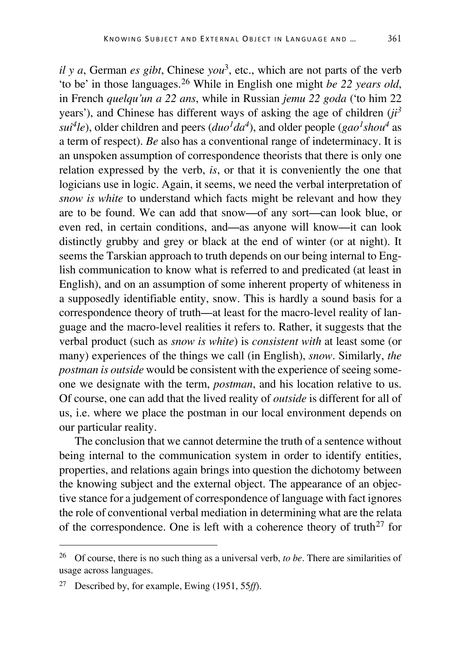*il y a*, German *es gibt*, Chinese *you*3, etc., which are not parts of the verb 'to be' in those languages. [26](#page-22-0) While in English one might *be 22 years old*, in French *quelqu'un a 22 ans*, while in Russian *jemu 22 goda* ('to him 22 years'), and Chinese has different ways of asking the age of children (*ji<sup>3</sup>*  $sui<sup>4</sup>le$ , older children and peers ( $duo<sup>1</sup>da<sup>4</sup>$ ), and older people (*gao<sup>1</sup>shou<sup>4</sup>* as a term of respect). *Be* also has a conventional range of indeterminacy. It is an unspoken assumption of correspondence theorists that there is only one relation expressed by the verb, *is*, or that it is conveniently the one that logicians use in logic. Again, it seems, we need the verbal interpretation of *snow is white* to understand which facts might be relevant and how they are to be found. We can add that snow—of any sort—can look blue, or even red, in certain conditions, and—as anyone will know—it can look distinctly grubby and grey or black at the end of winter (or at night). It seems the Tarskian approach to truth depends on our being internal to English communication to know what is referred to and predicated (at least in English), and on an assumption of some inherent property of whiteness in a supposedly identifiable entity, snow. This is hardly a sound basis for a correspondence theory of truth—at least for the macro-level reality of language and the macro-level realities it refers to. Rather, it suggests that the verbal product (such as *snow is white*) is *consistent with* at least some (or many) experiences of the things we call (in English), *snow*. Similarly, *the postman is outside* would be consistent with the experience of seeing some-

one we designate with the term, *postman*, and his location relative to us. Of course, one can add that the lived reality of *outside* is different for all of us, i.e. where we place the postman in our local environment depends on our particular reality.

The conclusion that we cannot determine the truth of a sentence without being internal to the communication system in order to identify entities, properties, and relations again brings into question the dichotomy between the knowing subject and the external object. The appearance of an objective stance for a judgement of correspondence of language with fact ignores the role of conventional verbal mediation in determining what are the relata of the correspondence. One is left with a coherence theory of truth<sup>[27](#page-22-1)</sup> for

<span id="page-22-0"></span> <sup>26</sup> Of course, there is no such thing as a universal verb, *to be*. There are similarities of usage across languages.

<span id="page-22-1"></span><sup>27</sup> Described by, for example, Ewing (1951, 55*ff*).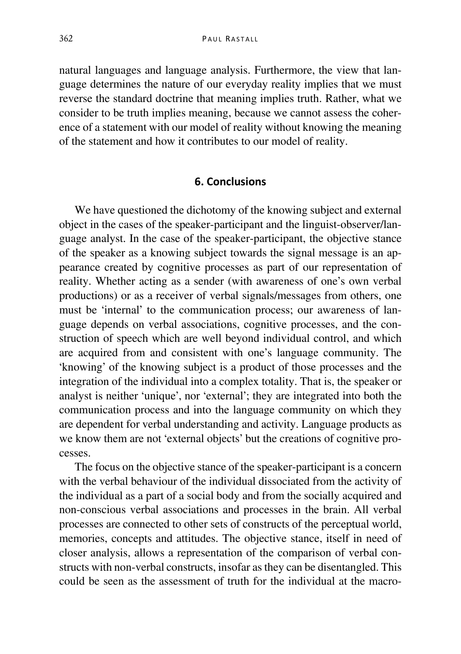natural languages and language analysis. Furthermore, the view that language determines the nature of our everyday reality implies that we must reverse the standard doctrine that meaning implies truth. Rather, what we consider to be truth implies meaning, because we cannot assess the coherence of a statement with our model of reality without knowing the meaning of the statement and how it contributes to our model of reality.

### **6. Conclusions**

We have questioned the dichotomy of the knowing subject and external object in the cases of the speaker-participant and the linguist-observer/language analyst. In the case of the speaker-participant, the objective stance of the speaker as a knowing subject towards the signal message is an appearance created by cognitive processes as part of our representation of reality. Whether acting as a sender (with awareness of one's own verbal productions) or as a receiver of verbal signals/messages from others, one must be 'internal' to the communication process; our awareness of language depends on verbal associations, cognitive processes, and the construction of speech which are well beyond individual control, and which are acquired from and consistent with one's language community. The 'knowing' of the knowing subject is a product of those processes and the integration of the individual into a complex totality. That is, the speaker or analyst is neither 'unique', nor 'external'; they are integrated into both the communication process and into the language community on which they are dependent for verbal understanding and activity. Language products as we know them are not 'external objects' but the creations of cognitive processes.

The focus on the objective stance of the speaker-participant is a concern with the verbal behaviour of the individual dissociated from the activity of the individual as a part of a social body and from the socially acquired and non-conscious verbal associations and processes in the brain. All verbal processes are connected to other sets of constructs of the perceptual world, memories, concepts and attitudes. The objective stance, itself in need of closer analysis, allows a representation of the comparison of verbal constructs with non-verbal constructs, insofar as they can be disentangled. This could be seen as the assessment of truth for the individual at the macro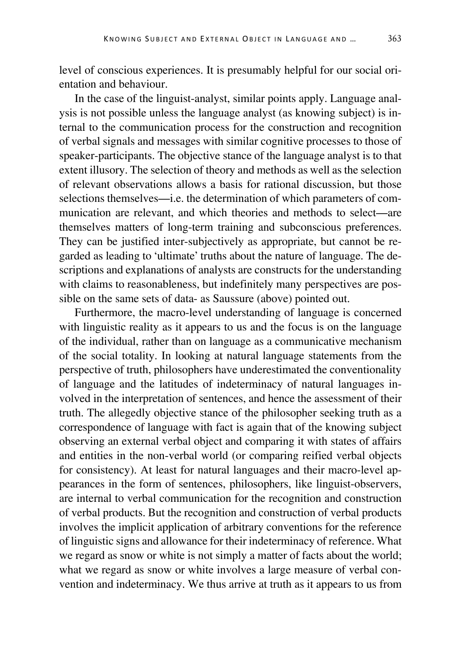level of conscious experiences. It is presumably helpful for our social orientation and behaviour.

In the case of the linguist-analyst, similar points apply. Language analysis is not possible unless the language analyst (as knowing subject) is internal to the communication process for the construction and recognition of verbal signals and messages with similar cognitive processes to those of speaker-participants. The objective stance of the language analyst is to that extent illusory. The selection of theory and methods as well as the selection of relevant observations allows a basis for rational discussion, but those selections themselves—i.e. the determination of which parameters of communication are relevant, and which theories and methods to select—are themselves matters of long-term training and subconscious preferences. They can be justified inter-subjectively as appropriate, but cannot be regarded as leading to 'ultimate' truths about the nature of language. The descriptions and explanations of analysts are constructs for the understanding with claims to reasonableness, but indefinitely many perspectives are possible on the same sets of data- as Saussure (above) pointed out.

Furthermore, the macro-level understanding of language is concerned with linguistic reality as it appears to us and the focus is on the language of the individual, rather than on language as a communicative mechanism of the social totality. In looking at natural language statements from the perspective of truth, philosophers have underestimated the conventionality of language and the latitudes of indeterminacy of natural languages involved in the interpretation of sentences, and hence the assessment of their truth. The allegedly objective stance of the philosopher seeking truth as a correspondence of language with fact is again that of the knowing subject observing an external verbal object and comparing it with states of affairs and entities in the non-verbal world (or comparing reified verbal objects for consistency). At least for natural languages and their macro-level appearances in the form of sentences, philosophers, like linguist-observers, are internal to verbal communication for the recognition and construction of verbal products. But the recognition and construction of verbal products involves the implicit application of arbitrary conventions for the reference of linguistic signs and allowance for their indeterminacy of reference. What we regard as snow or white is not simply a matter of facts about the world; what we regard as snow or white involves a large measure of verbal convention and indeterminacy. We thus arrive at truth as it appears to us from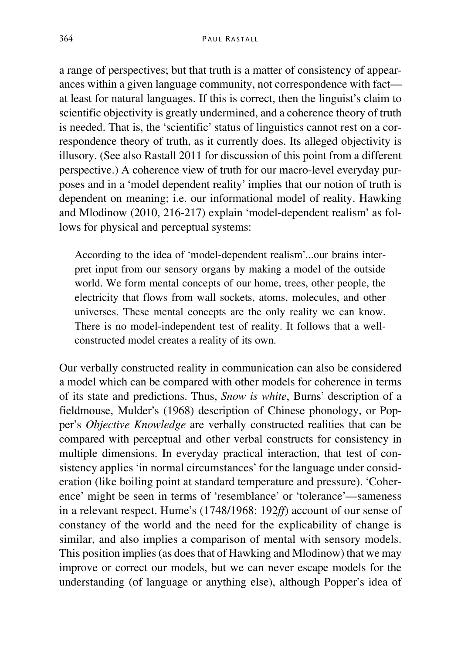a range of perspectives; but that truth is a matter of consistency of appearances within a given language community, not correspondence with fact at least for natural languages. If this is correct, then the linguist's claim to scientific objectivity is greatly undermined, and a coherence theory of truth is needed. That is, the 'scientific' status of linguistics cannot rest on a correspondence theory of truth, as it currently does. Its alleged objectivity is illusory. (See also Rastall 2011 for discussion of this point from a different perspective.) A coherence view of truth for our macro-level everyday purposes and in a 'model dependent reality' implies that our notion of truth is dependent on meaning; i.e. our informational model of reality. Hawking and Mlodinow (2010, 216-217) explain 'model-dependent realism' as follows for physical and perceptual systems:

According to the idea of 'model-dependent realism'...our brains interpret input from our sensory organs by making a model of the outside world. We form mental concepts of our home, trees, other people, the electricity that flows from wall sockets, atoms, molecules, and other universes. These mental concepts are the only reality we can know. There is no model-independent test of reality. It follows that a wellconstructed model creates a reality of its own.

Our verbally constructed reality in communication can also be considered a model which can be compared with other models for coherence in terms of its state and predictions. Thus, *Snow is white*, Burns' description of a fieldmouse, Mulder's (1968) description of Chinese phonology, or Popper's *Objective Knowledge* are verbally constructed realities that can be compared with perceptual and other verbal constructs for consistency in multiple dimensions. In everyday practical interaction, that test of consistency applies 'in normal circumstances' for the language under consideration (like boiling point at standard temperature and pressure). 'Coherence' might be seen in terms of 'resemblance' or 'tolerance'—sameness in a relevant respect. Hume's (1748/1968: 192*ff*) account of our sense of constancy of the world and the need for the explicability of change is similar, and also implies a comparison of mental with sensory models. This position implies (as does that of Hawking and Mlodinow) that we may improve or correct our models, but we can never escape models for the understanding (of language or anything else), although Popper's idea of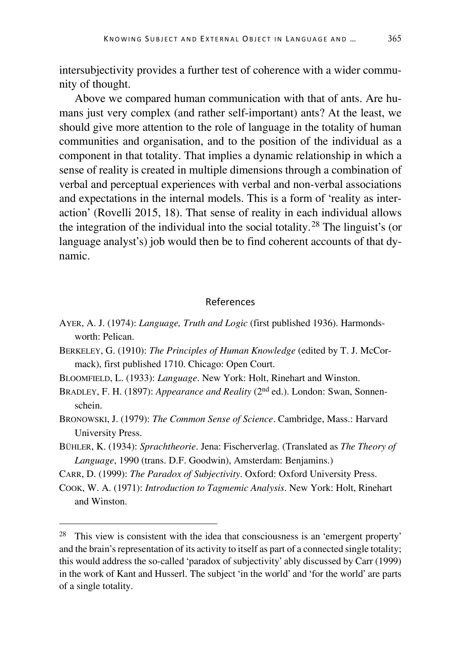intersubjectivity provides a further test of coherence with a wider community of thought.

Above we compared human communication with that of ants. Are humans just very complex (and rather self-important) ants? At the least, we should give more attention to the role of language in the totality of human communities and organisation, and to the position of the individual as a component in that totality. That implies a dynamic relationship in which a sense of reality is created in multiple dimensions through a combination of verbal and perceptual experiences with verbal and non-verbal associations and expectations in the internal models. This is a form of 'reality as interaction' (Rovelli 2015, 18). That sense of reality in each individual allows the integration of the individual into the social totality. [28](#page-26-0) The linguist's (or language analyst's) job would then be to find coherent accounts of that dynamic.

#### References

- AYER, A. J. (1974): *Language, Truth and Logic* (first published 1936). Harmondsworth: Pelican.
- BERKELEY, G. (1910): *The Principles of Human Knowledge* (edited by T. J. McCormack), first published 1710. Chicago: Open Court.
- BLOOMFIELD, L. (1933): *Language*. New York: Holt, Rinehart and Winston.
- BRADLEY, F. H. (1897): *Appearance and Reality* (2<sup>nd</sup> ed.). London: Swan, Sonnenschein.
- BRONOWSKI, J. (1979): *The Common Sense of Science*. Cambridge, Mass.: Harvard University Press.
- BÜHLER, K. (1934): *Sprachtheorie*. Jena: Fischerverlag. (Translated as *The Theory of Language*, 1990 (trans. D.F. Goodwin), Amsterdam: Benjamins.)
- CARR, D. (1999): *The Paradox of Subjectivity*. Oxford: Oxford University Press.
- COOK, W. A. (1971): *Introduction to Tagmemic Analysis*. New York: Holt, Rinehart and Winston.

<span id="page-26-0"></span> <sup>28</sup> This view is consistent with the idea that consciousness is an 'emergent property' and the brain's representation of its activity to itself as part of a connected single totality; this would address the so-called 'paradox of subjectivity' ably discussed by Carr (1999) in the work of Kant and Husserl. The subject 'in the world' and 'for the world' are parts of a single totality.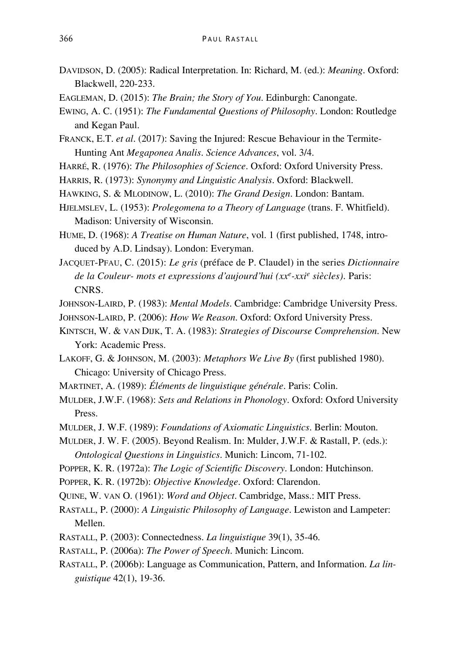- DAVIDSON, D. (2005): Radical Interpretation. In: Richard, M. (ed.): *Meaning*. Oxford: Blackwell, 220-233.
- EAGLEMAN, D. (2015): *The Brain; the Story of You*. Edinburgh: Canongate.
- EWING, A. C. (1951): *The Fundamental Questions of Philosophy*. London: Routledge and Kegan Paul.
- FRANCK, E.T. *et al*. (2017): Saving the Injured: Rescue Behaviour in the Termite-Hunting Ant *Megaponea Analis*. *Science Advances*, vol. 3/4.
- HARRÉ, R. (1976): *The Philosophies of Science*. Oxford: Oxford University Press.
- HARRIS, R. (1973): *Synonymy and Linguistic Analysis*. Oxford: Blackwell.
- HAWKING, S. & MLODINOW, L. (2010): *The Grand Design*. London: Bantam.
- HJELMSLEV, L. (1953): *Prolegomena to a Theory of Language* (trans. F. Whitfield). Madison: University of Wisconsin.
- HUME, D. (1968): *A Treatise on Human Nature*, vol. 1 (first published, 1748, introduced by A.D. Lindsay). London: Everyman.
- JACQUET-PFAU, C. (2015): *Le gris* (préface de P. Claudel) in the series *Dictionnaire de la Couleur- mots et expressions d'aujourd'hui (xxe-xxie siècles)*. Paris: CNRS.
- JOHNSON-LAIRD, P. (1983): *Mental Models*. Cambridge: Cambridge University Press.
- JOHNSON-LAIRD, P. (2006): *How We Reason*. Oxford: Oxford University Press.
- KINTSCH, W. & VAN DIJK, T. A. (1983): *Strategies of Discourse Comprehension*. New York: Academic Press.
- LAKOFF, G. & JOHNSON, M. (2003): *Metaphors We Live By* (first published 1980). Chicago: University of Chicago Press.
- MARTINET, A. (1989): *Éléments de linguistique générale*. Paris: Colin.
- MULDER, J.W.F. (1968): *Sets and Relations in Phonology*. Oxford: Oxford University Press.
- MULDER, J. W.F. (1989): *Foundations of Axiomatic Linguistics*. Berlin: Mouton.
- MULDER, J. W. F. (2005). Beyond Realism. In: Mulder, J.W.F. & Rastall, P. (eds.): *Ontological Questions in Linguistics*. Munich: Lincom, 71-102.
- POPPER, K. R. (1972a): *The Logic of Scientific Discovery*. London: Hutchinson.
- POPPER, K. R. (1972b): *Objective Knowledge*. Oxford: Clarendon.
- QUINE, W. VAN O. (1961): *Word and Object*. Cambridge, Mass.: MIT Press.
- RASTALL, P. (2000): *A Linguistic Philosophy of Language*. Lewiston and Lampeter: Mellen.
- RASTALL, P. (2003): Connectedness. *La linguistique* 39(1), 35-46.
- RASTALL, P. (2006a): *The Power of Speech*. Munich: Lincom.
- RASTALL, P. (2006b): Language as Communication, Pattern, and Information. *La linguistique* 42(1), 19-36.